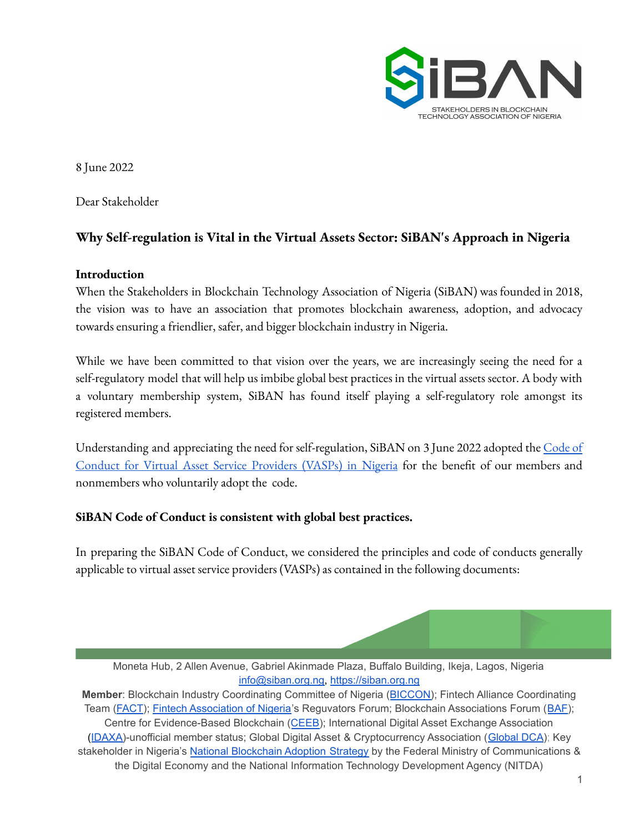

8 June 2022

Dear Stakeholder

# **Why Self-regulation is Vital in the Virtual Assets Sector: SiBAN's Approach in Nigeria**

#### **Introduction**

When the Stakeholders in Blockchain Technology Association of Nigeria (SiBAN) was founded in 2018, the vision was to have an association that promotes blockchain awareness, adoption, and advocacy towards ensuring a friendlier, safer, and bigger blockchain industry in Nigeria.

While we have been committed to that vision over the years, we are increasingly seeing the need for a self-regulatory model that will help us imbibe global best practices in the virtual assets sector. A body with a voluntary membership system, SiBAN has found itself playing a self-regulatory role amongst its registered members.

Understanding and appreciating the need for self-regulation, SiBAN on 3 June 2022 adopted the [Code](https://drive.google.com/file/d/12LysxCWvnyWm8BldnfsCp7iDmeGWlj9G/view?usp=sharing) of Conduct for Virtual Asset Service [Providers](https://drive.google.com/file/d/12LysxCWvnyWm8BldnfsCp7iDmeGWlj9G/view?usp=sharing) (VASPs) in Nigeria for the benefit of our members and nonmembers who voluntarily adopt the code.

## **SiBAN Code of Conduct is consistent with global best practices.**

In preparing the SiBAN Code of Conduct, we considered the principles and code of conducts generally applicable to virtual asset service providers (VASPs) as contained in the following documents:

Moneta Hub, 2 Allen Avenue, Gabriel Akinmade Plaza, Buffalo Building, Ikeja, Lagos, Nigeria [info@siban.org.ng,](mailto:info@siban.org.ng) <https://siban.org.ng>

**Member**: Blockchain Industry Coordinating Committee of Nigeria ([BICCON\)](https://biccon.ng); Fintech Alliance Coordinating Team ([FACT](https://www.proshareng.com/news/FINTECH/FintechNGR-Announces-the-Establishment-of-the-Fintech-Alliance-Coordinating-Team--FACT-/57791)); Fintech [Association](https://fintechng.org/) of Nigeria's Reguvators Forum; Blockchain Associations Forum ([BAF](https://britishblockchainassociation.org/baf/)); Centre for Evidence-Based Blockchain ([CEEB\)](https://britishblockchainassociation.org/cebb/); International Digital Asset Exchange Association ([IDAXA\)](https://idaxa.org)-unofficial member status; Global Digital Asset & Cryptocurrency Association ([Global](https://global-dca.org) DCA); Key stakeholder in Nigeria's National [Blockchain](https://nitda.gov.ng/wp-content/uploads/2020/10/DRAFT-NATIONAL-BLOCKCHAIN-ADOPTION-STRATEGY.pdf) Adoption Strategy by the Federal Ministry of Communications & the Digital Economy and the National Information Technology Development Agency (NITDA)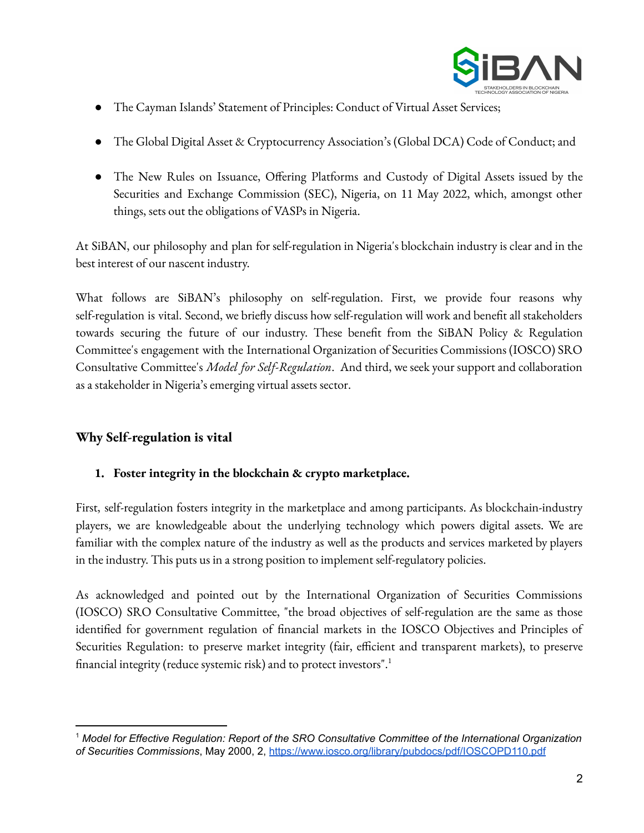

- The Cayman Islands' Statement of Principles: Conduct of Virtual Asset Services;
- The Global Digital Asset & Cryptocurrency Association's (Global DCA) Code of Conduct; and
- The New Rules on Issuance, Offering Platforms and Custody of Digital Assets issued by the Securities and Exchange Commission (SEC), Nigeria, on 11 May 2022, which, amongst other things, sets out the obligations of VASPs in Nigeria.

At SiBAN, our philosophy and plan for self-regulation in Nigeria's blockchain industry is clear and in the best interest of our nascent industry.

What follows are SiBAN's philosophy on self-regulation. First, we provide four reasons why self-regulation is vital. Second, we briefly discuss how self-regulation will work and benefit all stakeholders towards securing the future of our industry. These benefit from the SiBAN Policy & Regulation Committee's engagement with the International Organization of Securities Commissions (IOSCO) SRO Consultative Committee's *Model for Self-Regulation*. And third, we seek your support and collaboration as a stakeholder in Nigeria's emerging virtual assets sector.

# **Why Self-regulation is vital**

## **1. Foster integrity in the blockchain & crypto marketplace.**

First, self-regulation fosters integrity in the marketplace and among participants. As blockchain-industry players, we are knowledgeable about the underlying technology which powers digital assets. We are familiar with the complex nature of the industry as well as the products and services marketed by players in the industry. This puts us in a strong position to implement self-regulatory policies.

As acknowledged and pointed out by the International Organization of Securities Commissions (IOSCO) SRO Consultative Committee, "the broad objectives of self-regulation are the same as those identified for government regulation of financial markets in the IOSCO Objectives and Principles of Securities Regulation: to preserve market integrity (fair, efficient and transparent markets), to preserve financial integrity (reduce systemic risk) and to protect investors".<sup>1</sup>

<sup>1</sup> *Model for Effective Regulation: Report of the SRO Consultative Committee of the International Organization of Securities Commissions*, May 2000, 2, <https://www.iosco.org/library/pubdocs/pdf/IOSCOPD110.pdf>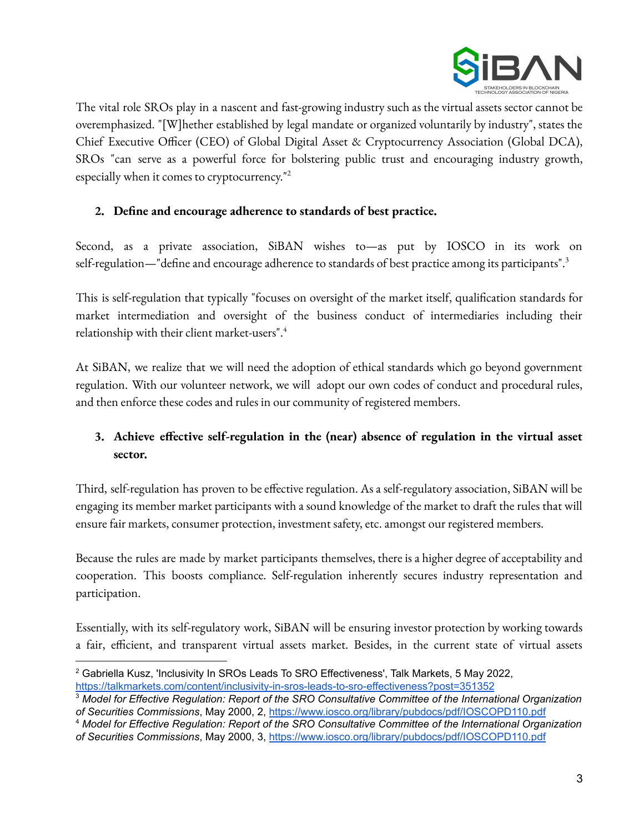

The vital role SROs play in a nascent and fast-growing industry such as the virtual assets sector cannot be overemphasized. "[W]hether established by legal mandate or organized voluntarily by industry", states the Chief Executive Officer (CEO) of Global Digital Asset & Cryptocurrency Association (Global DCA), SROs "can serve as a powerful force for bolstering public trust and encouraging industry growth, especially when it comes to cryptocurrency."<sup>2</sup>

#### **2. Define and encourage adherence to standards of best practice.**

Second, as a private association, SiBAN wishes to—as put by IOSCO in its work on self-regulation—"define and encourage adherence to standards of best practice among its participants".<sup>3</sup>

This is self-regulation that typically "focuses on oversight of the market itself, qualification standards for market intermediation and oversight of the business conduct of intermediaries including their relationship with their client market-users". 4

At SiBAN, we realize that we will need the adoption of ethical standards which go beyond government regulation. With our volunteer network, we will adopt our own codes of conduct and procedural rules, and then enforce these codes and rules in our community of registered members.

# **3. Achieve effective self-regulation in the (near) absence of regulation in the virtual asset sector.**

Third, self-regulation has proven to be effective regulation. As a self-regulatory association, SiBAN will be engaging its member market participants with a sound knowledge of the market to draft the rules that will ensure fair markets, consumer protection, investment safety, etc. amongst our registered members.

Because the rules are made by market participants themselves, there is a higher degree of acceptability and cooperation. This boosts compliance. Self-regulation inherently secures industry representation and participation.

Essentially, with its self-regulatory work, SiBAN will be ensuring investor protection by working towards a fair, efficient, and transparent virtual assets market. Besides, in the current state of virtual assets

<sup>&</sup>lt;sup>2</sup> Gabriella Kusz, 'Inclusivity In SROs Leads To SRO Effectiveness', Talk Markets, 5 May 2022, <https://talkmarkets.com/content/inclusivity-in-sros-leads-to-sro-effectiveness?post=351352>

<sup>3</sup> *Model for Effective Regulation: Report of the SRO Consultative Committee of the International Organization of Securities Commissions*, May 2000, 2, <https://www.iosco.org/library/pubdocs/pdf/IOSCOPD110.pdf>

<sup>4</sup> *Model for Effective Regulation: Report of the SRO Consultative Committee of the International Organization of Securities Commissions*, May 2000, 3, <https://www.iosco.org/library/pubdocs/pdf/IOSCOPD110.pdf>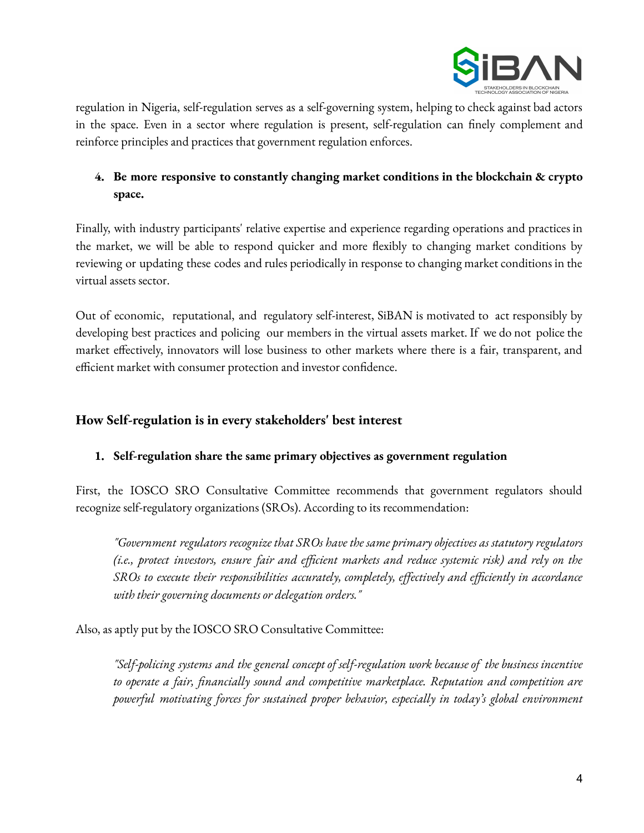

regulation in Nigeria, self-regulation serves as a self-governing system, helping to check against bad actors in the space. Even in a sector where regulation is present, self-regulation can finely complement and reinforce principles and practices that government regulation enforces.

# **4. Be more responsive to constantly changing market conditions in the blockchain & crypto space.**

Finally, with industry participants' relative expertise and experience regarding operations and practices in the market, we will be able to respond quicker and more flexibly to changing market conditions by reviewing or updating these codes and rules periodically in response to changing market conditions in the virtual assets sector.

Out of economic, reputational, and regulatory self-interest, SiBAN is motivated to act responsibly by developing best practices and policing our members in the virtual assets market. If we do not police the market effectively, innovators will lose business to other markets where there is a fair, transparent, and efficient market with consumer protection and investor confidence.

## **How Self-regulation is in every stakeholders' best interest**

#### **1. Self-regulation share the same primary objectives as government regulation**

First, the IOSCO SRO Consultative Committee recommends that government regulators should recognize self-regulatory organizations (SROs). According to its recommendation:

*"Government regulators recognize that SROs have the same primary objectives as statutory regulators (i.e., protect investors, ensure fair and efficient markets and reduce systemic risk) and rely on the SROs to execute their responsibilities accurately, completely, effectively and efficiently in accordance with their governing documents or delegation orders."*

Also, as aptly put by the IOSCO SRO Consultative Committee:

*"Self-policing systems and the general concept of self-regulation work because of the business incentive to operate a fair, financially sound and competitive marketplace. Reputation and competition are powerful motivating forces for sustained proper behavior, especially in today's global environment*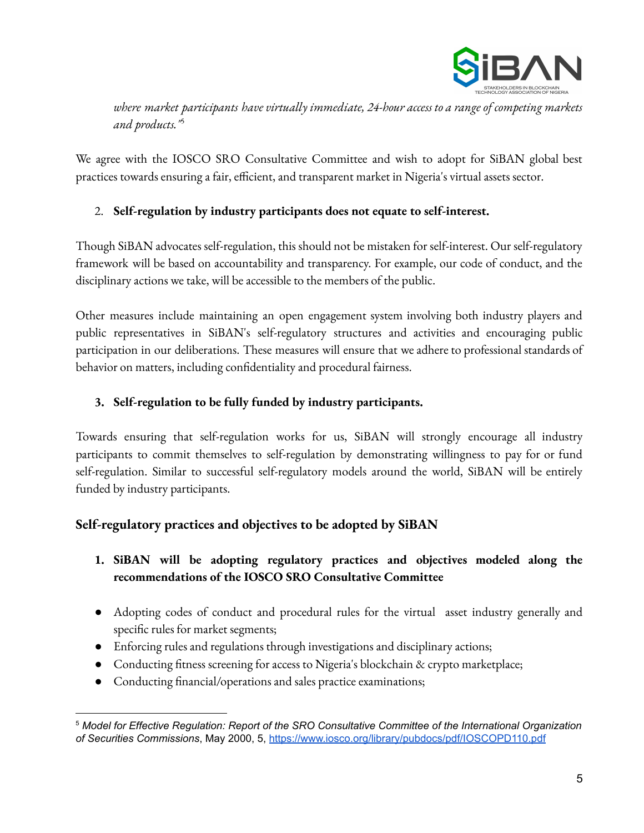

*where market participants have virtually immediate, 24-hour access to a range of competing markets and products."* 5

We agree with the IOSCO SRO Consultative Committee and wish to adopt for SiBAN global best practices towards ensuring a fair, efficient, and transparent market in Nigeria's virtual assets sector.

## 2. **Self-regulation by industry participants does not equate to self-interest.**

Though SiBAN advocates self-regulation, this should not be mistaken for self-interest. Our self-regulatory framework will be based on accountability and transparency. For example, our code of conduct, and the disciplinary actions we take, will be accessible to the members of the public.

Other measures include maintaining an open engagement system involving both industry players and public representatives in SiBAN's self-regulatory structures and activities and encouraging public participation in our deliberations. These measures will ensure that we adhere to professional standards of behavior on matters, including confidentiality and procedural fairness.

## **3. Self-regulation to be fully funded by industry participants.**

Towards ensuring that self-regulation works for us, SiBAN will strongly encourage all industry participants to commit themselves to self-regulation by demonstrating willingness to pay for or fund self-regulation. Similar to successful self-regulatory models around the world, SiBAN will be entirely funded by industry participants.

# **Self-regulatory practices and objectives to be adopted by SiBAN**

## **1. SiBAN will be adopting regulatory practices and objectives modeled along the recommendations of the IOSCO SRO Consultative Committee**

- Adopting codes of conduct and procedural rules for the virtual asset industry generally and specific rules for market segments;
- Enforcing rules and regulations through investigations and disciplinary actions;
- Conducting fitness screening for access to Nigeria's blockchain & crypto marketplace;
- Conducting financial/operations and sales practice examinations;

<sup>5</sup> *Model for Effective Regulation: Report of the SRO Consultative Committee of the International Organization of Securities Commissions*, May 2000, 5, <https://www.iosco.org/library/pubdocs/pdf/IOSCOPD110.pdf>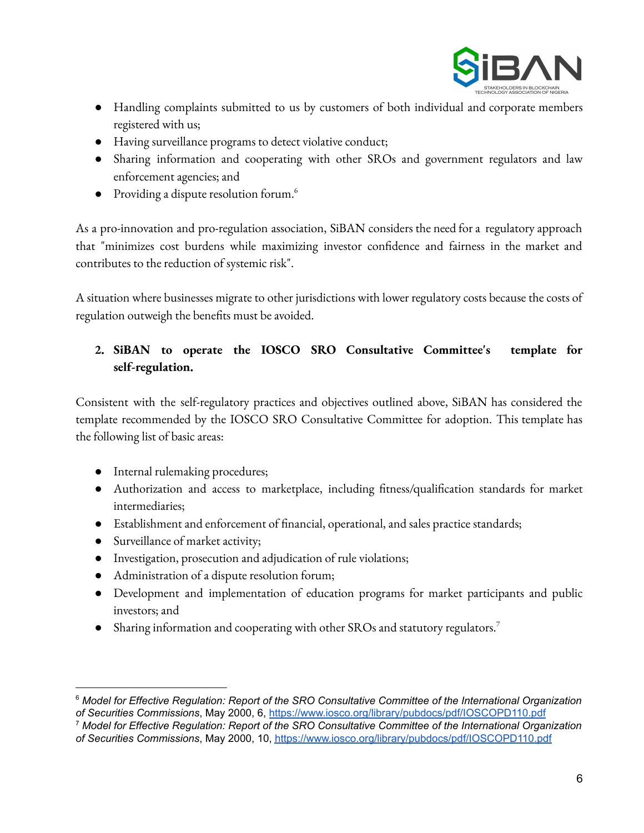

- Handling complaints submitted to us by customers of both individual and corporate members registered with us;
- Having surveillance programs to detect violative conduct;
- Sharing information and cooperating with other SROs and government regulators and law enforcement agencies; and
- Providing a dispute resolution forum. 6

As a pro-innovation and pro-regulation association, SiBAN considers the need for a regulatory approach that "minimizes cost burdens while maximizing investor confidence and fairness in the market and contributes to the reduction of systemic risk".

A situation where businesses migrate to other jurisdictions with lower regulatory costs because the costs of regulation outweigh the benefits must be avoided.

## **2. SiBAN to operate the IOSCO SRO Consultative Committee's template for self-regulation.**

Consistent with the self-regulatory practices and objectives outlined above, SiBAN has considered the template recommended by the IOSCO SRO Consultative Committee for adoption. This template has the following list of basic areas:

- Internal rulemaking procedures;
- Authorization and access to marketplace, including fitness/qualification standards for market intermediaries;
- Establishment and enforcement of financial, operational, and sales practice standards;
- Surveillance of market activity;
- Investigation, prosecution and adjudication of rule violations;
- Administration of a dispute resolution forum;
- Development and implementation of education programs for market participants and public investors; and
- Sharing information and cooperating with other SROs and statutory regulators. 7

<sup>6</sup> *Model for Effective Regulation: Report of the SRO Consultative Committee of the International Organization of Securities Commissions*, May 2000, 6, <https://www.iosco.org/library/pubdocs/pdf/IOSCOPD110.pdf>

<sup>7</sup> *Model for Effective Regulation: Report of the SRO Consultative Committee of the International Organization of Securities Commissions*, May 2000, 10, <https://www.iosco.org/library/pubdocs/pdf/IOSCOPD110.pdf>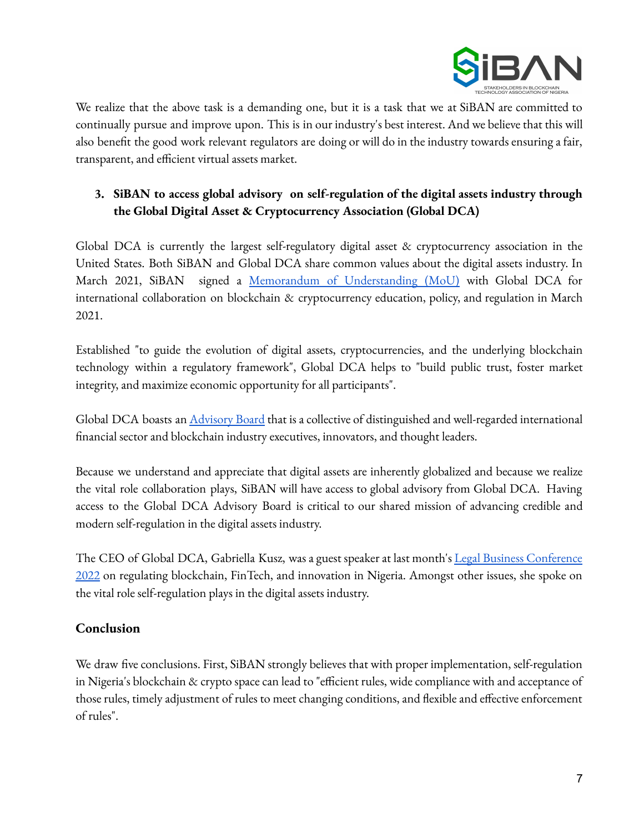

We realize that the above task is a demanding one, but it is a task that we at SiBAN are committed to continually pursue and improve upon. This is in our industry's best interest. And we believe that this will also benefit the good work relevant regulators are doing or will do in the industry towards ensuring a fair, transparent, and efficient virtual assets market.

# **3. SiBAN to access global advisory on self-regulation of the digital assets industry through the Global Digital Asset & Cryptocurrency Association (Global DCA)**

Global DCA is currently the largest self-regulatory digital asset & cryptocurrency association in the United States. Both SiBAN and Global DCA share common values about the digital assets industry. In March 2021, SiBAN signed a Memorandum of [Understanding](https://siban.org.ng/siban-and-global-dca-sign-mou-on-blockchain-cryptocurrency-education-policy-and-regulation/) (MoU) with Global DCA for international collaboration on blockchain & cryptocurrency education, policy, and regulation in March 2021.

Established "to guide the evolution of digital assets, cryptocurrencies, and the underlying blockchain technology within a regulatory framework", Global DCA helps to "build public trust, foster market integrity, and maximize economic opportunity for all participants".

Global DCA boasts an *[Advisory](https://global-dca.org/advisory-board/) Board* that is a collective of distinguished and well-regarded international financial sector and blockchain industry executives, innovators, and thought leaders.

Because we understand and appreciate that digital assets are inherently globalized and because we realize the vital role collaboration plays, SiBAN will have access to global advisory from Global DCA. Having access to the Global DCA Advisory Board is critical to our shared mission of advancing credible and modern self-regulation in the digital assets industry.

The CEO of Global DCA, Gabriella Kusz, was a guest speaker at last month's Legal Business [Conference](https://guardian.ng/features/experts-call-for-lawyers-involvement-in-digital-assets/amp/) [2022](https://guardian.ng/features/experts-call-for-lawyers-involvement-in-digital-assets/amp/) on regulating blockchain, FinTech, and innovation in Nigeria. Amongst other issues, she spoke on the vital role self-regulation plays in the digital assets industry.

# **Conclusion**

We draw five conclusions. First, SiBAN strongly believes that with proper implementation, self-regulation in Nigeria's blockchain & crypto space can lead to "efficient rules, wide compliance with and acceptance of those rules, timely adjustment of rules to meet changing conditions, and flexible and effective enforcement of rules".